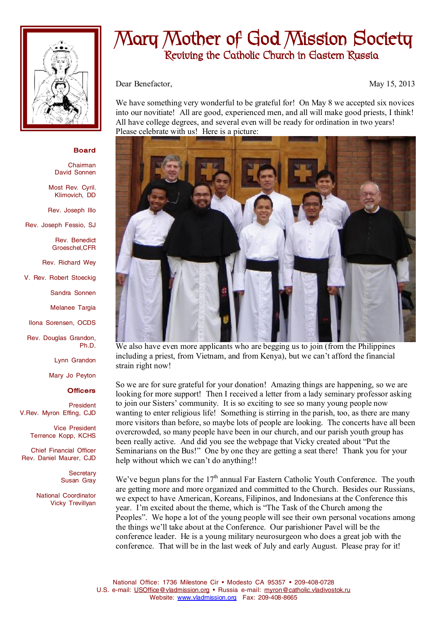

## **Mary Mother of God Mission Society Reviving the Catholic Church in Eastern Russia**

Dear Benefactor, May 15, 2013

We have something very wonderful to be grateful for! On May 8 we accepted six novices into our novitiate! All are good, experienced men, and all will make good priests, I think! All have college degrees, and several even will be ready for ordination in two years! Please celebrate with us! Here is a picture:



We also have even more applicants who are begging us to join (from the Philippines including a priest, from Vietnam, and from Kenya), but we can't afford the financial strain right now!

So we are for sure grateful for your donation! Amazing things are happening, so we are looking for more support! Then I received a letter from a lady seminary professor asking to join our Sisters' community. It is so exciting to see so many young people now wanting to enter religious life! Something is stirring in the parish, too, as there are many more visitors than before, so maybe lots of people are looking. The concerts have all been overcrowded, so many people have been in our church, and our parish youth group has been really active. And did you see the webpage that Vicky created about "Put the Seminarians on the Bus!" One by one they are getting a seat there! Thank you for your help without which we can't do anything!!

We've begun plans for the  $17<sup>th</sup>$  annual Far Eastern Catholic Youth Conference. The youth are getting more and more organized and committed to the Church. Besides our Russians, we expect to have American, Koreans, Filipinos, and Indonesians at the Conference this year. I'm excited about the theme, which is "The Task of the Church among the Peoples". We hope a lot of the young people will see their own personal vocations among the things we'll take about at the Conference. Our parishioner Pavel will be the conference leader. He is a young military neurosurgeon who does a great job with the conference. That will be in the last week of July and early August. Please pray for it!

**Board** 

Chairman David Sonnen

Most Rev. Cyril. Klimovich, DD

Rev. Joseph Illo

Rev. Joseph Fessio, SJ

Rev. Benedict Groeschel,CFR

Rev. Richard Wey

V. Rev. Robert Stoeckig

Sandra Sonnen

Melanee Targia

Ilona Sorensen, OCDS

Rev. Douglas Grandon, Ph.D.

Lynn Grandon

Mary Jo Peyton

## **Officers**

President V.Rev. Myron Effing, CJD

> Vice President Terrence Kopp, KCHS

Chief Financial Officer Rev. Daniel Maurer, CJD

> **Secretary** Susan Gray

National Coordinator Vicky Trevillyan